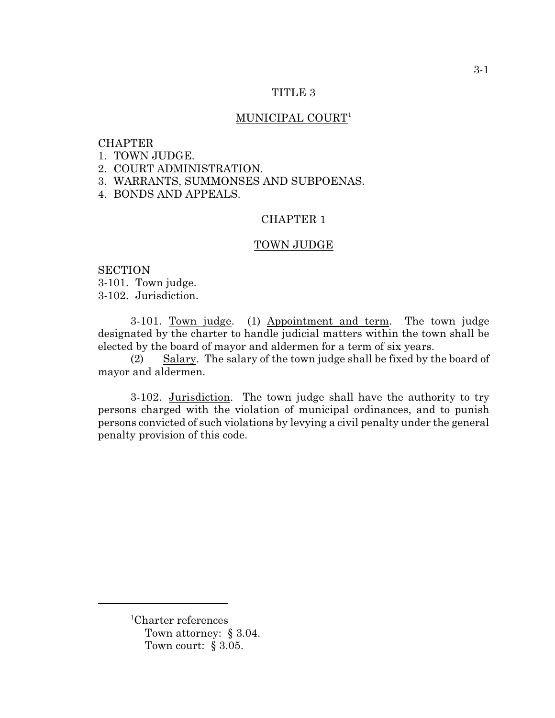#### TITLE 3

## MUNICIPAL COURT<sup>1</sup>

## **CHAPTER**

- 1. TOWN JUDGE.
- 2. COURT ADMINISTRATION.
- 3. WARRANTS, SUMMONSES AND SUBPOENAS.
- 4. BONDS AND APPEALS.

## CHAPTER 1

### TOWN JUDGE

**SECTION** 3-101. Town judge. 3-102. Jurisdiction.

3-101. Town judge. (1) Appointment and term. The town judge designated by the charter to handle judicial matters within the town shall be elected by the board of mayor and aldermen for a term of six years.

(2) Salary. The salary of the town judge shall be fixed by the board of mayor and aldermen.

3-102. Jurisdiction. The town judge shall have the authority to try persons charged with the violation of municipal ordinances, and to punish persons convicted of such violations by levying a civil penalty under the general penalty provision of this code.

 ${}^{1}$ Charter references Town attorney: § 3.04. Town court: § 3.05.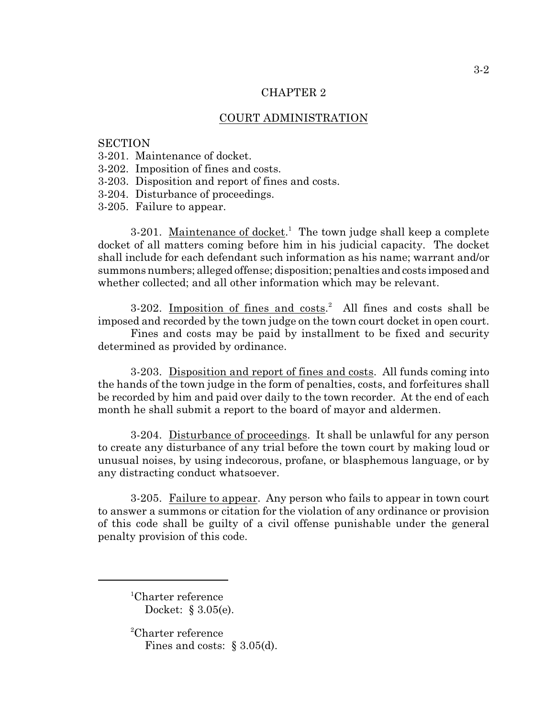## CHAPTER 2

# COURT ADMINISTRATION

#### **SECTION**

- 3-201. Maintenance of docket.
- 3-202. Imposition of fines and costs.
- 3-203. Disposition and report of fines and costs.
- 3-204. Disturbance of proceedings.
- 3-205. Failure to appear.

3-201. Maintenance of docket.<sup>1</sup> The town judge shall keep a complete docket of all matters coming before him in his judicial capacity. The docket shall include for each defendant such information as his name; warrant and/or summons numbers; alleged offense; disposition; penalties and costs imposed and whether collected; and all other information which may be relevant.

3-202. Imposition of fines and  $costs$ .<sup>2</sup> All fines and costs shall be imposed and recorded by the town judge on the town court docket in open court.

Fines and costs may be paid by installment to be fixed and security determined as provided by ordinance.

3-203. Disposition and report of fines and costs. All funds coming into the hands of the town judge in the form of penalties, costs, and forfeitures shall be recorded by him and paid over daily to the town recorder. At the end of each month he shall submit a report to the board of mayor and aldermen.

3-204. Disturbance of proceedings. It shall be unlawful for any person to create any disturbance of any trial before the town court by making loud or unusual noises, by using indecorous, profane, or blasphemous language, or by any distracting conduct whatsoever.

3-205. Failure to appear. Any person who fails to appear in town court to answer a summons or citation for the violation of any ordinance or provision of this code shall be guilty of a civil offense punishable under the general penalty provision of this code.

 ${}^{1}$ Charter reference Docket: § 3.05(e).

 ${}^{2}$ Charter reference Fines and costs: § 3.05(d).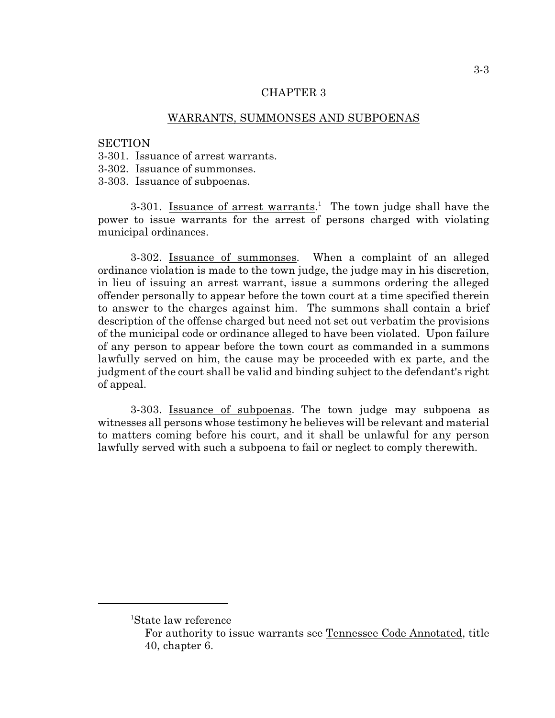## CHAPTER 3

## WARRANTS, SUMMONSES AND SUBPOENAS

#### **SECTION**

- 3-301. Issuance of arrest warrants.
- 3-302. Issuance of summonses.
- 3-303. Issuance of subpoenas.

3-301. Issuance of arrest warrants.<sup>1</sup> The town judge shall have the power to issue warrants for the arrest of persons charged with violating municipal ordinances.

3-302. Issuance of summonses. When a complaint of an alleged ordinance violation is made to the town judge, the judge may in his discretion, in lieu of issuing an arrest warrant, issue a summons ordering the alleged offender personally to appear before the town court at a time specified therein to answer to the charges against him. The summons shall contain a brief description of the offense charged but need not set out verbatim the provisions of the municipal code or ordinance alleged to have been violated. Upon failure of any person to appear before the town court as commanded in a summons lawfully served on him, the cause may be proceeded with ex parte, and the judgment of the court shall be valid and binding subject to the defendant's right of appeal.

3-303. Issuance of subpoenas. The town judge may subpoena as witnesses all persons whose testimony he believes will be relevant and material to matters coming before his court, and it shall be unlawful for any person lawfully served with such a subpoena to fail or neglect to comply therewith.

<sup>&</sup>lt;sup>1</sup>State law reference

For authority to issue warrants see Tennessee Code Annotated, title 40, chapter 6.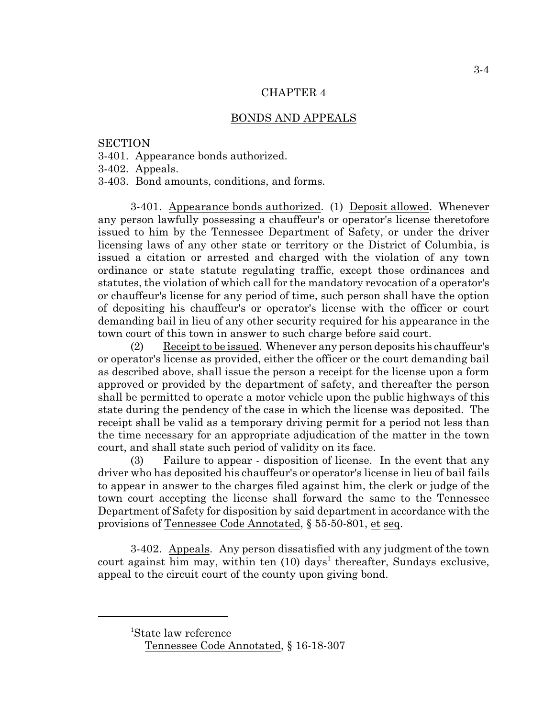#### CHAPTER 4

#### BONDS AND APPEALS

### **SECTION**

3-401. Appearance bonds authorized.

3-402. Appeals.

3-403. Bond amounts, conditions, and forms.

3-401. Appearance bonds authorized. (1) Deposit allowed. Whenever any person lawfully possessing a chauffeur's or operator's license theretofore issued to him by the Tennessee Department of Safety, or under the driver licensing laws of any other state or territory or the District of Columbia, is issued a citation or arrested and charged with the violation of any town ordinance or state statute regulating traffic, except those ordinances and statutes, the violation of which call for the mandatory revocation of a operator's or chauffeur's license for any period of time, such person shall have the option of depositing his chauffeur's or operator's license with the officer or court demanding bail in lieu of any other security required for his appearance in the town court of this town in answer to such charge before said court.

(2) Receipt to be issued. Whenever any person deposits his chauffeur's or operator's license as provided, either the officer or the court demanding bail as described above, shall issue the person a receipt for the license upon a form approved or provided by the department of safety, and thereafter the person shall be permitted to operate a motor vehicle upon the public highways of this state during the pendency of the case in which the license was deposited. The receipt shall be valid as a temporary driving permit for a period not less than the time necessary for an appropriate adjudication of the matter in the town court, and shall state such period of validity on its face.

(3) Failure to appear - disposition of license. In the event that any driver who has deposited his chauffeur's or operator's license in lieu of bail fails to appear in answer to the charges filed against him, the clerk or judge of the town court accepting the license shall forward the same to the Tennessee Department of Safety for disposition by said department in accordance with the provisions of Tennessee Code Annotated, § 55-50-801, et seq.

3-402. Appeals. Any person dissatisfied with any judgment of the town court against him may, within ten  $(10)$  days<sup>1</sup> thereafter, Sundays exclusive, appeal to the circuit court of the county upon giving bond.

<sup>&</sup>lt;sup>1</sup>State law reference

Tennessee Code Annotated, § 16-18-307